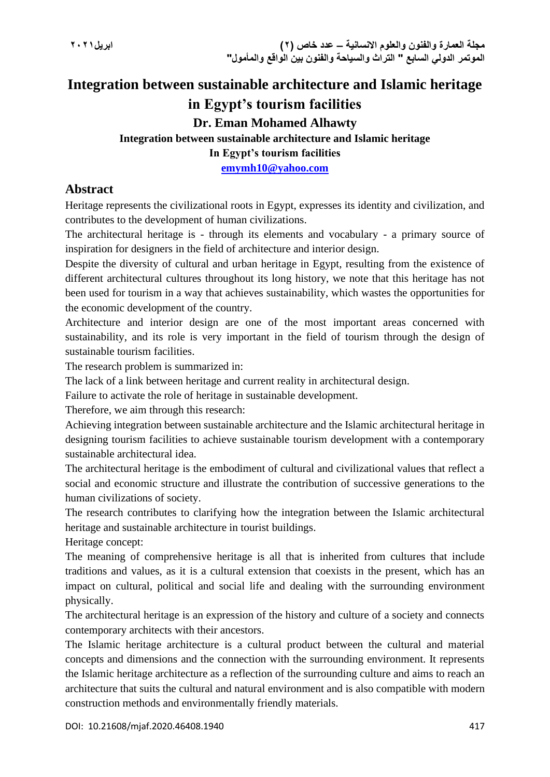# **Integration between sustainable architecture and Islamic heritage in Egypt's tourism facilities Dr. Eman Mohamed Alhawty Integration between sustainable architecture and Islamic heritage In Egypt's tourism facilities**

**[emymh10@yahoo.com](mailto:emymh10@yahoo.com)**

## **Abstract**

Heritage represents the civilizational roots in Egypt, expresses its identity and civilization, and contributes to the development of human civilizations.

The architectural heritage is - through its elements and vocabulary - a primary source of inspiration for designers in the field of architecture and interior design.

Despite the diversity of cultural and urban heritage in Egypt, resulting from the existence of different architectural cultures throughout its long history, we note that this heritage has not been used for tourism in a way that achieves sustainability, which wastes the opportunities for the economic development of the country.

Architecture and interior design are one of the most important areas concerned with sustainability, and its role is very important in the field of tourism through the design of sustainable tourism facilities.

The research problem is summarized in:

The lack of a link between heritage and current reality in architectural design.

Failure to activate the role of heritage in sustainable development.

Therefore, we aim through this research:

Achieving integration between sustainable architecture and the Islamic architectural heritage in designing tourism facilities to achieve sustainable tourism development with a contemporary sustainable architectural idea.

The architectural heritage is the embodiment of cultural and civilizational values that reflect a social and economic structure and illustrate the contribution of successive generations to the human civilizations of society.

The research contributes to clarifying how the integration between the Islamic architectural heritage and sustainable architecture in tourist buildings.

Heritage concept:

The meaning of comprehensive heritage is all that is inherited from cultures that include traditions and values, as it is a cultural extension that coexists in the present, which has an impact on cultural, political and social life and dealing with the surrounding environment physically.

The architectural heritage is an expression of the history and culture of a society and connects contemporary architects with their ancestors.

The Islamic heritage architecture is a cultural product between the cultural and material concepts and dimensions and the connection with the surrounding environment. It represents the Islamic heritage architecture as a reflection of the surrounding culture and aims to reach an architecture that suits the cultural and natural environment and is also compatible with modern construction methods and environmentally friendly materials.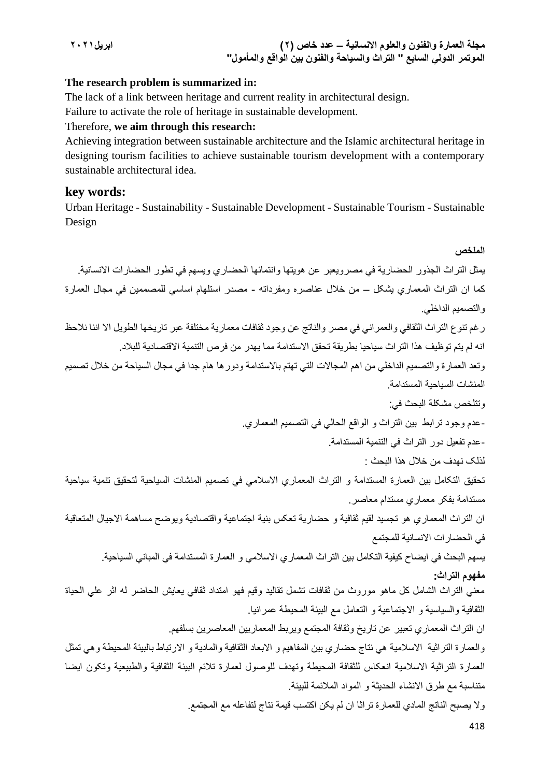**مجلة العمارة والفنون والعلوم االنسانية – عدد خاص )2( ابريل2021 الموتمر الدولي السابع " التراث والسياحة والفنون بين الواقع والمأمول"**

#### **The research problem is summarized in:**

The lack of a link between heritage and current reality in architectural design.

Failure to activate the role of heritage in sustainable development.

#### Therefore, **we aim through this research:**

Achieving integration between sustainable architecture and the Islamic architectural heritage in designing tourism facilities to achieve sustainable tourism development with a contemporary sustainable architectural idea.

#### **key words:**

Urban Heritage - Sustainability - Sustainable Development - Sustainable Tourism - Sustainable Design

418 **الملخص**  يمثل التراث الجذور الحضارية في مصرويعبر عن هويتها وانتمائها الحضاري ويسهم في تطور الحضارات االنسانية. کما ان التراث المعماري يشکل – من خالل عناصره ومفرداته - مصدر استلهام اساسي للمصممين في مجال العمارة والتصميم الداخلي. رغم تنوع التراث الثقافي والعمراني في مصر والناتج عن وجود ثقافات معمارية مختلفة عبر تاريخها الطويل اال اننا نالحظ انه لم يتم توظيف هذا التراث سياحيا بطريقة تحقق االستدامة مما يهدر من فرص التنمية االقتصادية للبالد. وتعد العمارة والتصميم الداخلي من اهم المجالات التي تهتم بالاستدامة ودورها هام جدا في مجال السياحة من خلال تصميم المنشات السياحية المستدامة. وتتلخص مشکلة البحث في: -عدم وجود ترابط بين التراث و الواقع الحالي في التصميم المعماري. -عدم تفعيل دور التراث في التنمية المستدامة. لذلک نهدف من خالل هذا البحث : تحقيق التکامل بين العمارة المستدامة و التراث المعماري االسالمي في تصميم المنشات السياحية لتحقيق تنمية سياحية مستدامة بفکر معماري مستدام معاصر. ان التراث المعماري هو تجسيد لقيم ثقافية و حضارية تعکس بنية اجتماعية واقتصادية ويوضح مساهمة االجيال المتعاقبة في الحضارات االنسانية للمجتمع يسهم البحث في ايضاح کيفية التکامل بين التراث المعماري االسالمي و العمارة المستدامة في المباني السياحية. **مفهوم التراث:** معني التراث الشامل کل ماهو موروث من ثقافات تشمل تقاليد وقيم فهو امتداد ثقافي يعايش الحاضر له اثر علي الحياة الثقافية والسياسية و االجتماعية و التعامل مع البيئة المحيطة عمرانيا. ان التراث المعماري تعبير عن تاريخ وثقافة المجتمع ويربط المعماريين المعاصرين بسلفهم. والعمارة التراثية الاسلامية هي نتاج حضاري بين المفاهيم و الابعاد الثقافية والمادية و الارتباط بالبيئة المحيطة وهي تمثل العمارة التراثية االسالمية انعکاس للثقافة المحيطة وتهدف للوصول لعمارة تالئم البيئة الثقافية والطبيعية وتکون ايضا متناسبة مع طرق االنشاء الحديثة و المواد المالئمة للبيئة. وال يصبح الناتج المادي للعمارة تراثا ان لم يکن اکتسب قيمة نتاج لتفاعله مع المجتمع.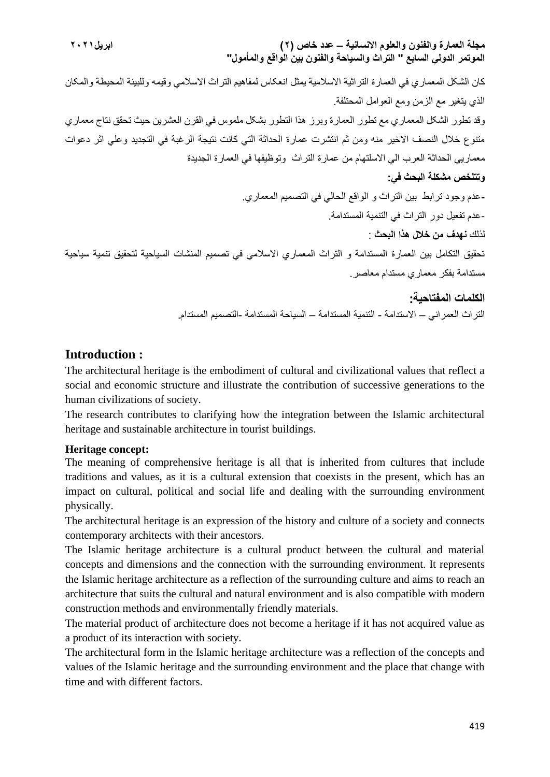**مجلة العمارة والفنون والعلوم االنسانية – عدد خاص )2( ابريل2021 الموتمر الدولي السابع " التراث والسياحة والفنون بين الواقع والمأمول"** کان الشکل المعماري في العمارة التراثية االسالمية يمثل انعکاس لمفاهيم التراث االسالمي وقيمه وللبيئة المحيطة والمکان الذي يتغير مع الزمن ومع العوامل المحتلفة. وقد تطور الشکل المعماري مع تطور العمارة وبرز هذا التطور بشکل ملموس في القرن العشرين حيث تحقق نتاج معماري متنوع خالل النصف االخير منه ومن ثم انتشرت عمارة الحداثة التي کانت نتيجة الرغبة في التجديد وعلي اثر دعوات معماريي الحداثة العرب الي االسلتهام من عمارة التراث وتوظيفها في العمارة الجديدة **وتتلخص مشكلة البحث في: -**عدم وجود ترابط بين التراث و الواقع الحالي في التصميم المعماري. -عدم تفعيل دور التراث في التنمية المستدامة. لذلك **نهدف من خالل هذا البحث** : تحقيق التكامل بين العمارة المستدامة و التراث المعماري االسالمي في تصميم المنشات السياحية لتحقيق تنمية سياحية مستدامة بفكر معماري مستدام معاصر. **الكلمات المفتاحية :**

## التراث العمراني – الاستدامة - التنمية المستدامة – السياحة المستدام -التصميم المستدام.

## **Introduction :**

The architectural heritage is the embodiment of cultural and civilizational values that reflect a social and economic structure and illustrate the contribution of successive generations to the human civilizations of society.

The research contributes to clarifying how the integration between the Islamic architectural heritage and sustainable architecture in tourist buildings.

#### **Heritage concept:**

The meaning of comprehensive heritage is all that is inherited from cultures that include traditions and values, as it is a cultural extension that coexists in the present, which has an impact on cultural, political and social life and dealing with the surrounding environment physically.

The architectural heritage is an expression of the history and culture of a society and connects contemporary architects with their ancestors.

The Islamic heritage architecture is a cultural product between the cultural and material concepts and dimensions and the connection with the surrounding environment. It represents the Islamic heritage architecture as a reflection of the surrounding culture and aims to reach an architecture that suits the cultural and natural environment and is also compatible with modern construction methods and environmentally friendly materials.

The material product of architecture does not become a heritage if it has not acquired value as a product of its interaction with society.

The architectural form in the Islamic heritage architecture was a reflection of the concepts and values of the Islamic heritage and the surrounding environment and the place that change with time and with different factors.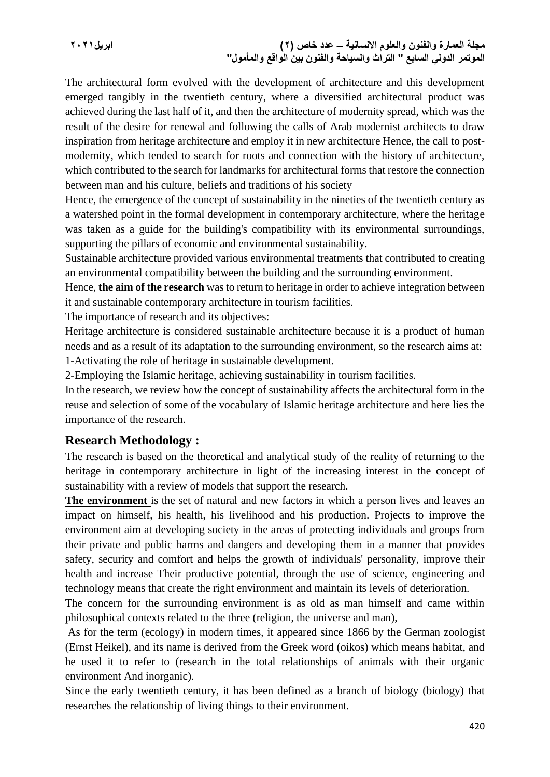**مجلة العمارة والفنون والعلوم االنسانية – عدد خاص )2( ابريل2021 الموتمر الدولي السابع " التراث والسياحة والفنون بين الواقع والمأمول"**

The architectural form evolved with the development of architecture and this development emerged tangibly in the twentieth century, where a diversified architectural product was achieved during the last half of it, and then the architecture of modernity spread, which was the result of the desire for renewal and following the calls of Arab modernist architects to draw inspiration from heritage architecture and employ it in new architecture Hence, the call to postmodernity, which tended to search for roots and connection with the history of architecture, which contributed to the search for landmarks for architectural forms that restore the connection between man and his culture, beliefs and traditions of his society

Hence, the emergence of the concept of sustainability in the nineties of the twentieth century as a watershed point in the formal development in contemporary architecture, where the heritage was taken as a guide for the building's compatibility with its environmental surroundings, supporting the pillars of economic and environmental sustainability.

Sustainable architecture provided various environmental treatments that contributed to creating an environmental compatibility between the building and the surrounding environment.

Hence, **the aim of the research** was to return to heritage in order to achieve integration between it and sustainable contemporary architecture in tourism facilities.

The importance of research and its objectives:

Heritage architecture is considered sustainable architecture because it is a product of human needs and as a result of its adaptation to the surrounding environment, so the research aims at:

1-Activating the role of heritage in sustainable development.

2-Employing the Islamic heritage, achieving sustainability in tourism facilities.

In the research, we review how the concept of sustainability affects the architectural form in the reuse and selection of some of the vocabulary of Islamic heritage architecture and here lies the importance of the research.

#### **Research Methodology :**

The research is based on the theoretical and analytical study of the reality of returning to the heritage in contemporary architecture in light of the increasing interest in the concept of sustainability with a review of models that support the research.

**The environment** is the set of natural and new factors in which a person lives and leaves an impact on himself, his health, his livelihood and his production. Projects to improve the environment aim at developing society in the areas of protecting individuals and groups from their private and public harms and dangers and developing them in a manner that provides safety, security and comfort and helps the growth of individuals' personality, improve their health and increase Their productive potential, through the use of science, engineering and technology means that create the right environment and maintain its levels of deterioration.

The concern for the surrounding environment is as old as man himself and came within philosophical contexts related to the three (religion, the universe and man),

As for the term (ecology) in modern times, it appeared since 1866 by the German zoologist (Ernst Heikel), and its name is derived from the Greek word (oikos) which means habitat, and he used it to refer to (research in the total relationships of animals with their organic environment And inorganic).

Since the early twentieth century, it has been defined as a branch of biology (biology) that researches the relationship of living things to their environment.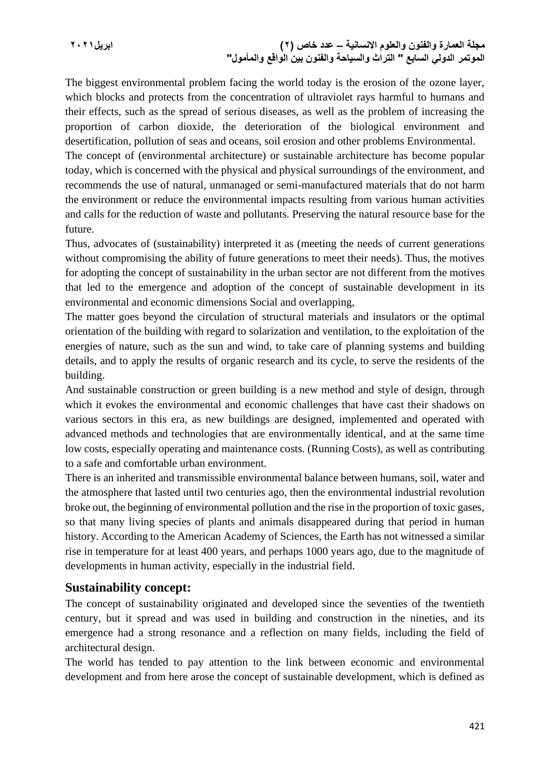**مجلة العمارة والفنون والعلوم االنسانية – عدد خاص )2( ابريل2021 الموتمر الدولي السابع " التراث والسياحة والفنون بين الواقع والمأمول"**

The biggest environmental problem facing the world today is the erosion of the ozone layer, which blocks and protects from the concentration of ultraviolet rays harmful to humans and their effects, such as the spread of serious diseases, as well as the problem of increasing the proportion of carbon dioxide, the deterioration of the biological environment and desertification, pollution of seas and oceans, soil erosion and other problems Environmental.

The concept of (environmental architecture) or sustainable architecture has become popular today, which is concerned with the physical and physical surroundings of the environment, and recommends the use of natural, unmanaged or semi-manufactured materials that do not harm the environment or reduce the environmental impacts resulting from various human activities and calls for the reduction of waste and pollutants. Preserving the natural resource base for the future.

Thus, advocates of (sustainability) interpreted it as (meeting the needs of current generations without compromising the ability of future generations to meet their needs). Thus, the motives for adopting the concept of sustainability in the urban sector are not different from the motives that led to the emergence and adoption of the concept of sustainable development in its environmental and economic dimensions Social and overlapping,

The matter goes beyond the circulation of structural materials and insulators or the optimal orientation of the building with regard to solarization and ventilation, to the exploitation of the energies of nature, such as the sun and wind, to take care of planning systems and building details, and to apply the results of organic research and its cycle, to serve the residents of the building.

And sustainable construction or green building is a new method and style of design, through which it evokes the environmental and economic challenges that have cast their shadows on various sectors in this era, as new buildings are designed, implemented and operated with advanced methods and technologies that are environmentally identical, and at the same time low costs, especially operating and maintenance costs. (Running Costs), as well as contributing to a safe and comfortable urban environment.

There is an inherited and transmissible environmental balance between humans, soil, water and the atmosphere that lasted until two centuries ago, then the environmental industrial revolution broke out, the beginning of environmental pollution and the rise in the proportion of toxic gases, so that many living species of plants and animals disappeared during that period in human history. According to the American Academy of Sciences, the Earth has not witnessed a similar rise in temperature for at least 400 years, and perhaps 1000 years ago, due to the magnitude of developments in human activity, especially in the industrial field.

#### **Sustainability concept:**

The concept of sustainability originated and developed since the seventies of the twentieth century, but it spread and was used in building and construction in the nineties, and its emergence had a strong resonance and a reflection on many fields, including the field of architectural design.

The world has tended to pay attention to the link between economic and environmental development and from here arose the concept of sustainable development, which is defined as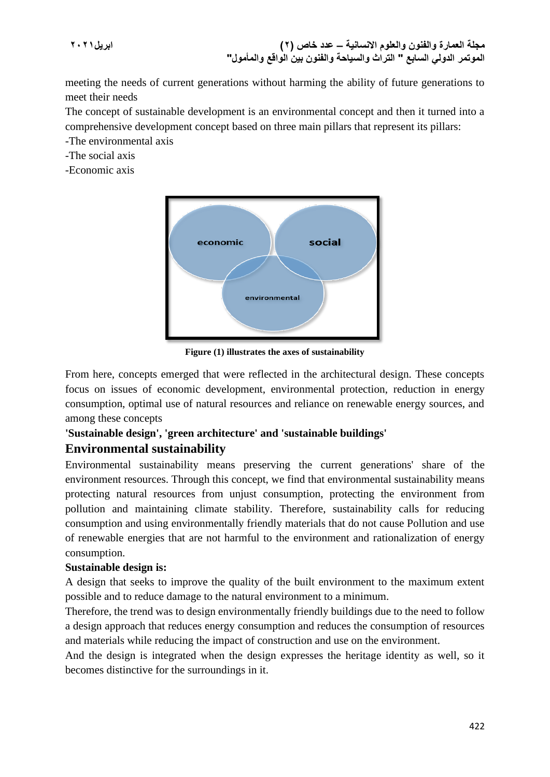**مجلة العمارة والفنون والعلوم االنسانية – عدد خاص )2( ابريل2021 الموتمر الدولي السابع " التراث والسياحة والفنون بين الواقع والمأمول"**

meeting the needs of current generations without harming the ability of future generations to meet their needs

The concept of sustainable development is an environmental concept and then it turned into a comprehensive development concept based on three main pillars that represent its pillars:

-The environmental axis

-The social axis

-Economic axis



**Figure (1) illustrates the axes of sustainability**

From here, concepts emerged that were reflected in the architectural design. These concepts focus on issues of economic development, environmental protection, reduction in energy consumption, optimal use of natural resources and reliance on renewable energy sources, and among these concepts

## **'Sustainable design', 'green architecture' and 'sustainable buildings'**

## **Environmental sustainability**

Environmental sustainability means preserving the current generations' share of the environment resources. Through this concept, we find that environmental sustainability means protecting natural resources from unjust consumption, protecting the environment from pollution and maintaining climate stability. Therefore, sustainability calls for reducing consumption and using environmentally friendly materials that do not cause Pollution and use of renewable energies that are not harmful to the environment and rationalization of energy consumption.

## **Sustainable design is:**

A design that seeks to improve the quality of the built environment to the maximum extent possible and to reduce damage to the natural environment to a minimum.

Therefore, the trend was to design environmentally friendly buildings due to the need to follow a design approach that reduces energy consumption and reduces the consumption of resources and materials while reducing the impact of construction and use on the environment.

And the design is integrated when the design expresses the heritage identity as well, so it becomes distinctive for the surroundings in it.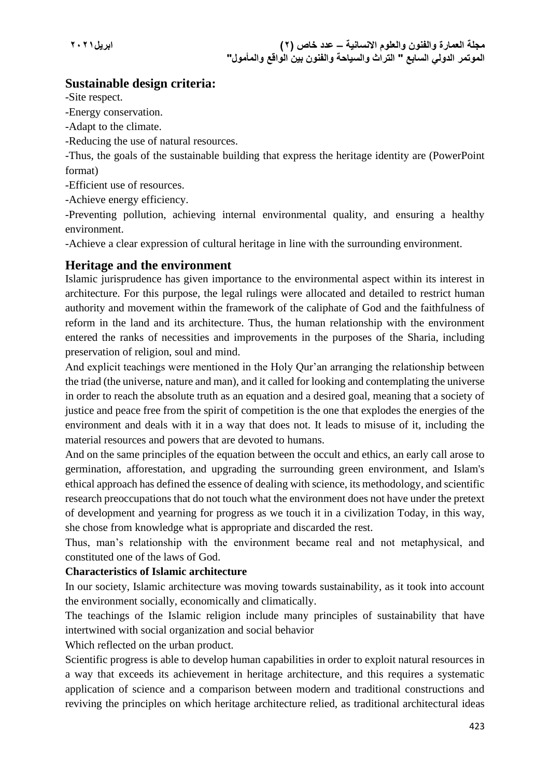## **Sustainable design criteria:**

-Site respect.

-Energy conservation.

- -Adapt to the climate.
- -Reducing the use of natural resources.

-Thus, the goals of the sustainable building that express the heritage identity are (PowerPoint format)

-Efficient use of resources.

-Achieve energy efficiency.

-Preventing pollution, achieving internal environmental quality, and ensuring a healthy environment.

-Achieve a clear expression of cultural heritage in line with the surrounding environment.

## **Heritage and the environment**

Islamic jurisprudence has given importance to the environmental aspect within its interest in architecture. For this purpose, the legal rulings were allocated and detailed to restrict human authority and movement within the framework of the caliphate of God and the faithfulness of reform in the land and its architecture. Thus, the human relationship with the environment entered the ranks of necessities and improvements in the purposes of the Sharia, including preservation of religion, soul and mind.

And explicit teachings were mentioned in the Holy Qur'an arranging the relationship between the triad (the universe, nature and man), and it called for looking and contemplating the universe in order to reach the absolute truth as an equation and a desired goal, meaning that a society of justice and peace free from the spirit of competition is the one that explodes the energies of the environment and deals with it in a way that does not. It leads to misuse of it, including the material resources and powers that are devoted to humans.

And on the same principles of the equation between the occult and ethics, an early call arose to germination, afforestation, and upgrading the surrounding green environment, and Islam's ethical approach has defined the essence of dealing with science, its methodology, and scientific research preoccupations that do not touch what the environment does not have under the pretext of development and yearning for progress as we touch it in a civilization Today, in this way, she chose from knowledge what is appropriate and discarded the rest.

Thus, man's relationship with the environment became real and not metaphysical, and constituted one of the laws of God.

#### **Characteristics of Islamic architecture**

In our society, Islamic architecture was moving towards sustainability, as it took into account the environment socially, economically and climatically.

The teachings of the Islamic religion include many principles of sustainability that have intertwined with social organization and social behavior

Which reflected on the urban product.

Scientific progress is able to develop human capabilities in order to exploit natural resources in a way that exceeds its achievement in heritage architecture, and this requires a systematic application of science and a comparison between modern and traditional constructions and reviving the principles on which heritage architecture relied, as traditional architectural ideas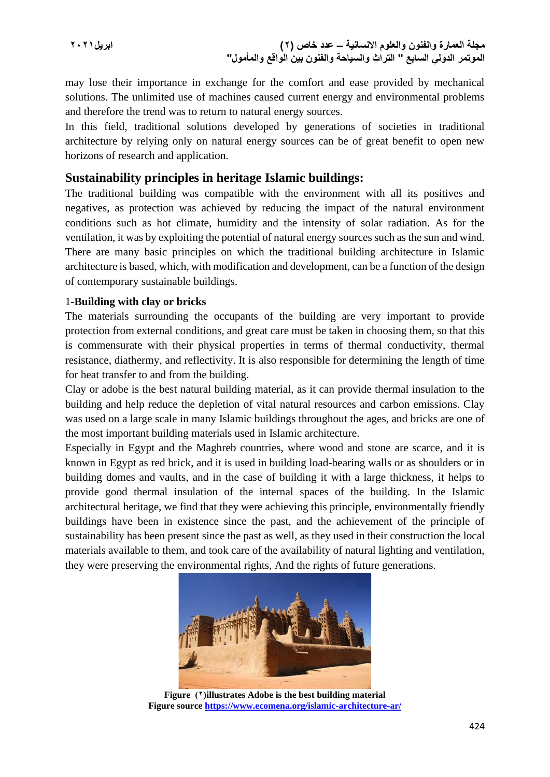**مجلة العمارة والفنون والعلوم االنسانية – عدد خاص )2( ابريل2021 الموتمر الدولي السابع " التراث والسياحة والفنون بين الواقع والمأمول"**

may lose their importance in exchange for the comfort and ease provided by mechanical solutions. The unlimited use of machines caused current energy and environmental problems and therefore the trend was to return to natural energy sources.

In this field, traditional solutions developed by generations of societies in traditional architecture by relying only on natural energy sources can be of great benefit to open new horizons of research and application.

### **Sustainability principles in heritage Islamic buildings:**

The traditional building was compatible with the environment with all its positives and negatives, as protection was achieved by reducing the impact of the natural environment conditions such as hot climate, humidity and the intensity of solar radiation. As for the ventilation, it was by exploiting the potential of natural energy sources such as the sun and wind. There are many basic principles on which the traditional building architecture in Islamic architecture is based, which, with modification and development, can be a function of the design of contemporary sustainable buildings.

#### 1**-Building with clay or bricks**

The materials surrounding the occupants of the building are very important to provide protection from external conditions, and great care must be taken in choosing them, so that this is commensurate with their physical properties in terms of thermal conductivity, thermal resistance, diathermy, and reflectivity. It is also responsible for determining the length of time for heat transfer to and from the building.

Clay or adobe is the best natural building material, as it can provide thermal insulation to the building and help reduce the depletion of vital natural resources and carbon emissions. Clay was used on a large scale in many Islamic buildings throughout the ages, and bricks are one of the most important building materials used in Islamic architecture.

Especially in Egypt and the Maghreb countries, where wood and stone are scarce, and it is known in Egypt as red brick, and it is used in building load-bearing walls or as shoulders or in building domes and vaults, and in the case of building it with a large thickness, it helps to provide good thermal insulation of the internal spaces of the building. In the Islamic architectural heritage, we find that they were achieving this principle, environmentally friendly buildings have been in existence since the past, and the achievement of the principle of sustainability has been present since the past as well, as they used in their construction the local materials available to them, and took care of the availability of natural lighting and ventilation, they were preserving the environmental rights, And the rights of future generations.



**Figure )2(illustrates Adobe is the best building material Figure source<https://www.ecomena.org/islamic-architecture-ar/>**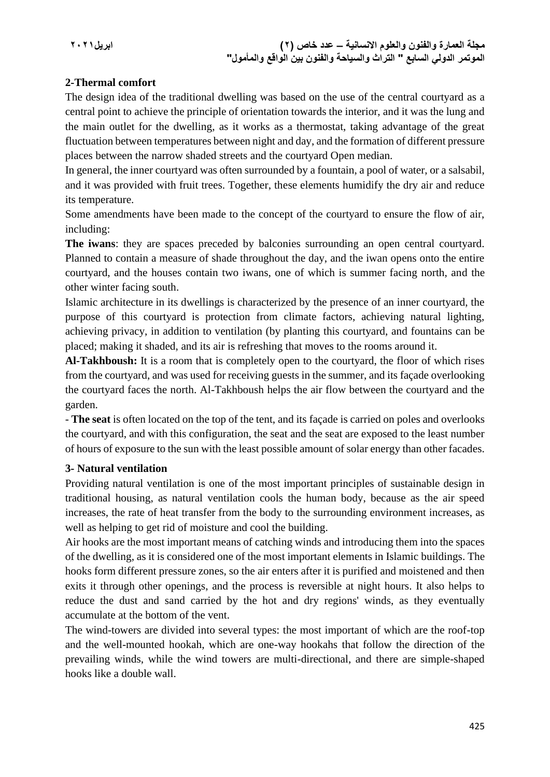### **2-Thermal comfort**

The design idea of the traditional dwelling was based on the use of the central courtyard as a central point to achieve the principle of orientation towards the interior, and it was the lung and the main outlet for the dwelling, as it works as a thermostat, taking advantage of the great fluctuation between temperatures between night and day, and the formation of different pressure places between the narrow shaded streets and the courtyard Open median.

In general, the inner courtyard was often surrounded by a fountain, a pool of water, or a salsabil, and it was provided with fruit trees. Together, these elements humidify the dry air and reduce its temperature.

Some amendments have been made to the concept of the courtyard to ensure the flow of air, including:

**The iwans**: they are spaces preceded by balconies surrounding an open central courtyard. Planned to contain a measure of shade throughout the day, and the iwan opens onto the entire courtyard, and the houses contain two iwans, one of which is summer facing north, and the other winter facing south.

Islamic architecture in its dwellings is characterized by the presence of an inner courtyard, the purpose of this courtyard is protection from climate factors, achieving natural lighting, achieving privacy, in addition to ventilation (by planting this courtyard, and fountains can be placed; making it shaded, and its air is refreshing that moves to the rooms around it.

**Al-Takhboush:** It is a room that is completely open to the courtyard, the floor of which rises from the courtyard, and was used for receiving guests in the summer, and its façade overlooking the courtyard faces the north. Al-Takhboush helps the air flow between the courtyard and the garden.

- **The seat** is often located on the top of the tent, and its façade is carried on poles and overlooks the courtyard, and with this configuration, the seat and the seat are exposed to the least number of hours of exposure to the sun with the least possible amount of solar energy than other facades.

#### **3- Natural ventilation**

Providing natural ventilation is one of the most important principles of sustainable design in traditional housing, as natural ventilation cools the human body, because as the air speed increases, the rate of heat transfer from the body to the surrounding environment increases, as well as helping to get rid of moisture and cool the building.

Air hooks are the most important means of catching winds and introducing them into the spaces of the dwelling, as it is considered one of the most important elements in Islamic buildings. The hooks form different pressure zones, so the air enters after it is purified and moistened and then exits it through other openings, and the process is reversible at night hours. It also helps to reduce the dust and sand carried by the hot and dry regions' winds, as they eventually accumulate at the bottom of the vent.

The wind-towers are divided into several types: the most important of which are the roof-top and the well-mounted hookah, which are one-way hookahs that follow the direction of the prevailing winds, while the wind towers are multi-directional, and there are simple-shaped hooks like a double wall.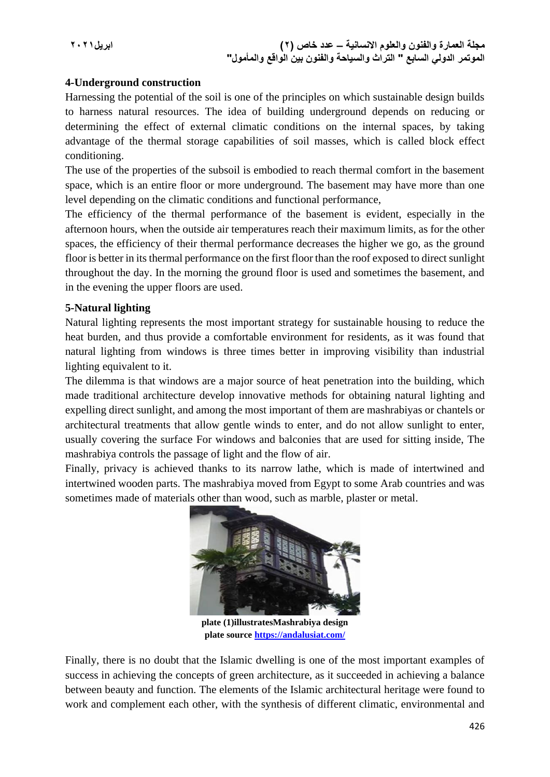### **4-Underground construction**

Harnessing the potential of the soil is one of the principles on which sustainable design builds to harness natural resources. The idea of building underground depends on reducing or determining the effect of external climatic conditions on the internal spaces, by taking advantage of the thermal storage capabilities of soil masses, which is called block effect conditioning.

The use of the properties of the subsoil is embodied to reach thermal comfort in the basement space, which is an entire floor or more underground. The basement may have more than one level depending on the climatic conditions and functional performance,

The efficiency of the thermal performance of the basement is evident, especially in the afternoon hours, when the outside air temperatures reach their maximum limits, as for the other spaces, the efficiency of their thermal performance decreases the higher we go, as the ground floor is better in its thermal performance on the first floor than the roof exposed to direct sunlight throughout the day. In the morning the ground floor is used and sometimes the basement, and in the evening the upper floors are used.

### **5-Natural lighting**

Natural lighting represents the most important strategy for sustainable housing to reduce the heat burden, and thus provide a comfortable environment for residents, as it was found that natural lighting from windows is three times better in improving visibility than industrial lighting equivalent to it.

The dilemma is that windows are a major source of heat penetration into the building, which made traditional architecture develop innovative methods for obtaining natural lighting and expelling direct sunlight, and among the most important of them are mashrabiyas or chantels or architectural treatments that allow gentle winds to enter, and do not allow sunlight to enter, usually covering the surface For windows and balconies that are used for sitting inside, The mashrabiya controls the passage of light and the flow of air.

Finally, privacy is achieved thanks to its narrow lathe, which is made of intertwined and intertwined wooden parts. The mashrabiya moved from Egypt to some Arab countries and was sometimes made of materials other than wood, such as marble, plaster or metal.



**plate (1)illustratesMashrabiya design plate source<https://andalusiat.com/>**

Finally, there is no doubt that the Islamic dwelling is one of the most important examples of success in achieving the concepts of green architecture, as it succeeded in achieving a balance between beauty and function. The elements of the Islamic architectural heritage were found to work and complement each other, with the synthesis of different climatic, environmental and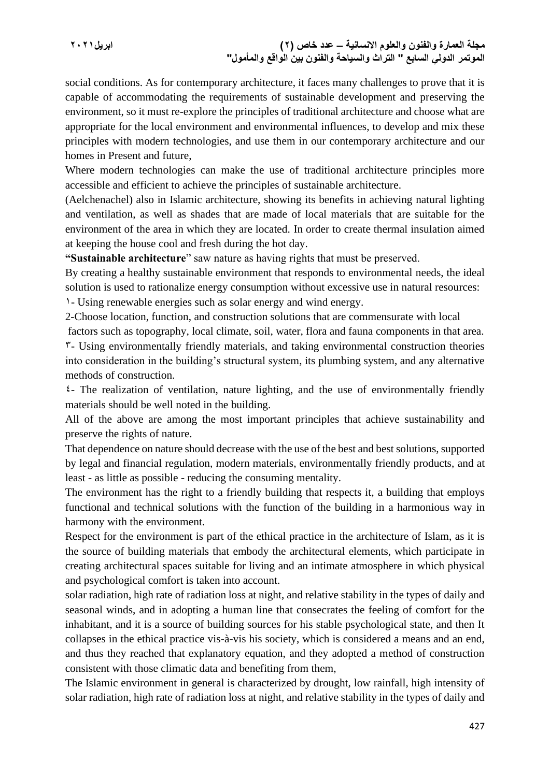social conditions. As for contemporary architecture, it faces many challenges to prove that it is capable of accommodating the requirements of sustainable development and preserving the environment, so it must re-explore the principles of traditional architecture and choose what are appropriate for the local environment and environmental influences, to develop and mix these principles with modern technologies, and use them in our contemporary architecture and our homes in Present and future,

Where modern technologies can make the use of traditional architecture principles more accessible and efficient to achieve the principles of sustainable architecture.

(Aelchenachel) also in Islamic architecture, showing its benefits in achieving natural lighting and ventilation, as well as shades that are made of local materials that are suitable for the environment of the area in which they are located. In order to create thermal insulation aimed at keeping the house cool and fresh during the hot day.

**"Sustainable architecture**" saw nature as having rights that must be preserved.

By creating a healthy sustainable environment that responds to environmental needs, the ideal solution is used to rationalize energy consumption without excessive use in natural resources:

1- Using renewable energies such as solar energy and wind energy.

2-Choose location, function, and construction solutions that are commensurate with local

factors such as topography, local climate, soil, water, flora and fauna components in that area.

3- Using environmentally friendly materials, and taking environmental construction theories into consideration in the building's structural system, its plumbing system, and any alternative methods of construction.

 $\epsilon$ - The realization of ventilation, nature lighting, and the use of environmentally friendly materials should be well noted in the building.

All of the above are among the most important principles that achieve sustainability and preserve the rights of nature.

That dependence on nature should decrease with the use of the best and best solutions, supported by legal and financial regulation, modern materials, environmentally friendly products, and at least - as little as possible - reducing the consuming mentality.

The environment has the right to a friendly building that respects it, a building that employs functional and technical solutions with the function of the building in a harmonious way in harmony with the environment.

Respect for the environment is part of the ethical practice in the architecture of Islam, as it is the source of building materials that embody the architectural elements, which participate in creating architectural spaces suitable for living and an intimate atmosphere in which physical and psychological comfort is taken into account.

solar radiation, high rate of radiation loss at night, and relative stability in the types of daily and seasonal winds, and in adopting a human line that consecrates the feeling of comfort for the inhabitant, and it is a source of building sources for his stable psychological state, and then It collapses in the ethical practice vis-à-vis his society, which is considered a means and an end, and thus they reached that explanatory equation, and they adopted a method of construction consistent with those climatic data and benefiting from them,

The Islamic environment in general is characterized by drought, low rainfall, high intensity of solar radiation, high rate of radiation loss at night, and relative stability in the types of daily and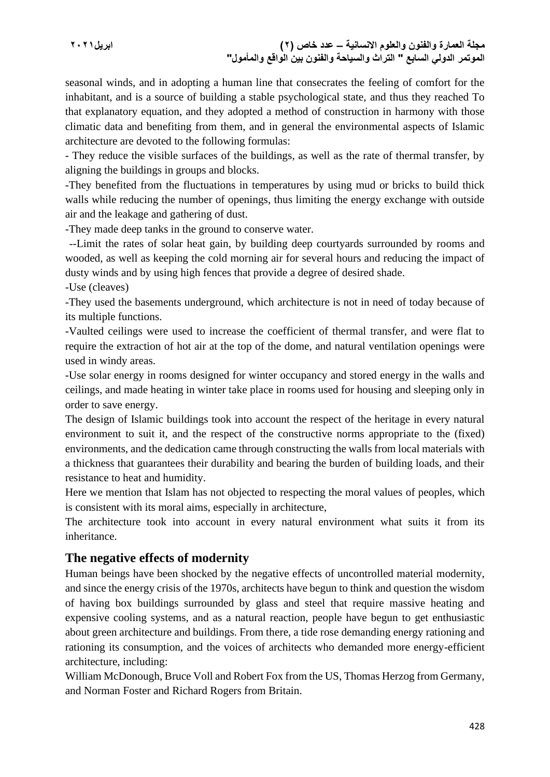**مجلة العمارة والفنون والعلوم االنسانية – عدد خاص )2( ابريل2021 الموتمر الدولي السابع " التراث والسياحة والفنون بين الواقع والمأمول"**

seasonal winds, and in adopting a human line that consecrates the feeling of comfort for the inhabitant, and is a source of building a stable psychological state, and thus they reached To that explanatory equation, and they adopted a method of construction in harmony with those climatic data and benefiting from them, and in general the environmental aspects of Islamic architecture are devoted to the following formulas:

- They reduce the visible surfaces of the buildings, as well as the rate of thermal transfer, by aligning the buildings in groups and blocks.

-They benefited from the fluctuations in temperatures by using mud or bricks to build thick walls while reducing the number of openings, thus limiting the energy exchange with outside air and the leakage and gathering of dust.

-They made deep tanks in the ground to conserve water.

 --Limit the rates of solar heat gain, by building deep courtyards surrounded by rooms and wooded, as well as keeping the cold morning air for several hours and reducing the impact of dusty winds and by using high fences that provide a degree of desired shade.

-Use (cleaves)

-They used the basements underground, which architecture is not in need of today because of its multiple functions.

-Vaulted ceilings were used to increase the coefficient of thermal transfer, and were flat to require the extraction of hot air at the top of the dome, and natural ventilation openings were used in windy areas.

-Use solar energy in rooms designed for winter occupancy and stored energy in the walls and ceilings, and made heating in winter take place in rooms used for housing and sleeping only in order to save energy.

The design of Islamic buildings took into account the respect of the heritage in every natural environment to suit it, and the respect of the constructive norms appropriate to the (fixed) environments, and the dedication came through constructing the walls from local materials with a thickness that guarantees their durability and bearing the burden of building loads, and their resistance to heat and humidity.

Here we mention that Islam has not objected to respecting the moral values of peoples, which is consistent with its moral aims, especially in architecture,

The architecture took into account in every natural environment what suits it from its inheritance.

## **The negative effects of modernity**

Human beings have been shocked by the negative effects of uncontrolled material modernity, and since the energy crisis of the 1970s, architects have begun to think and question the wisdom of having box buildings surrounded by glass and steel that require massive heating and expensive cooling systems, and as a natural reaction, people have begun to get enthusiastic about green architecture and buildings. From there, a tide rose demanding energy rationing and rationing its consumption, and the voices of architects who demanded more energy-efficient architecture, including:

William McDonough, Bruce Voll and Robert Fox from the US, Thomas Herzog from Germany, and Norman Foster and Richard Rogers from Britain.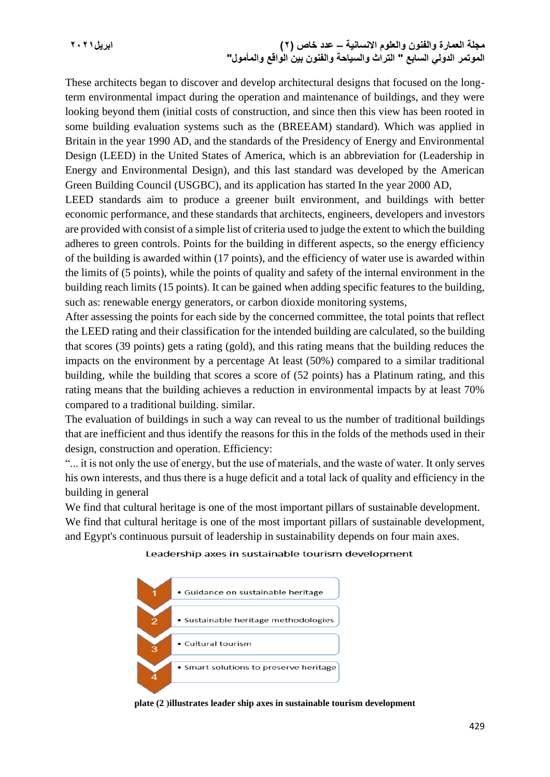**مجلة العمارة والفنون والعلوم االنسانية – عدد خاص )2( ابريل2021 الموتمر الدولي السابع " التراث والسياحة والفنون بين الواقع والمأمول"**

These architects began to discover and develop architectural designs that focused on the longterm environmental impact during the operation and maintenance of buildings, and they were looking beyond them (initial costs of construction, and since then this view has been rooted in some building evaluation systems such as the (BREEAM) standard). Which was applied in Britain in the year 1990 AD, and the standards of the Presidency of Energy and Environmental Design (LEED) in the United States of America, which is an abbreviation for (Leadership in Energy and Environmental Design), and this last standard was developed by the American Green Building Council (USGBC), and its application has started In the year 2000 AD,

LEED standards aim to produce a greener built environment, and buildings with better economic performance, and these standards that architects, engineers, developers and investors are provided with consist of a simple list of criteria used to judge the extent to which the building adheres to green controls. Points for the building in different aspects, so the energy efficiency of the building is awarded within (17 points), and the efficiency of water use is awarded within the limits of (5 points), while the points of quality and safety of the internal environment in the building reach limits (15 points). It can be gained when adding specific features to the building, such as: renewable energy generators, or carbon dioxide monitoring systems,

After assessing the points for each side by the concerned committee, the total points that reflect the LEED rating and their classification for the intended building are calculated, so the building that scores (39 points) gets a rating (gold), and this rating means that the building reduces the impacts on the environment by a percentage At least (50%) compared to a similar traditional building, while the building that scores a score of (52 points) has a Platinum rating, and this rating means that the building achieves a reduction in environmental impacts by at least 70% compared to a traditional building. similar.

The evaluation of buildings in such a way can reveal to us the number of traditional buildings that are inefficient and thus identify the reasons for this in the folds of the methods used in their design, construction and operation. Efficiency:

"... it is not only the use of energy, but the use of materials, and the waste of water. It only serves his own interests, and thus there is a huge deficit and a total lack of quality and efficiency in the building in general

We find that cultural heritage is one of the most important pillars of sustainable development.

We find that cultural heritage is one of the most important pillars of sustainable development, and Egypt's continuous pursuit of leadership in sustainability depends on four main axes.





**plate (2 (illustrates leader ship axes in sustainable tourism development**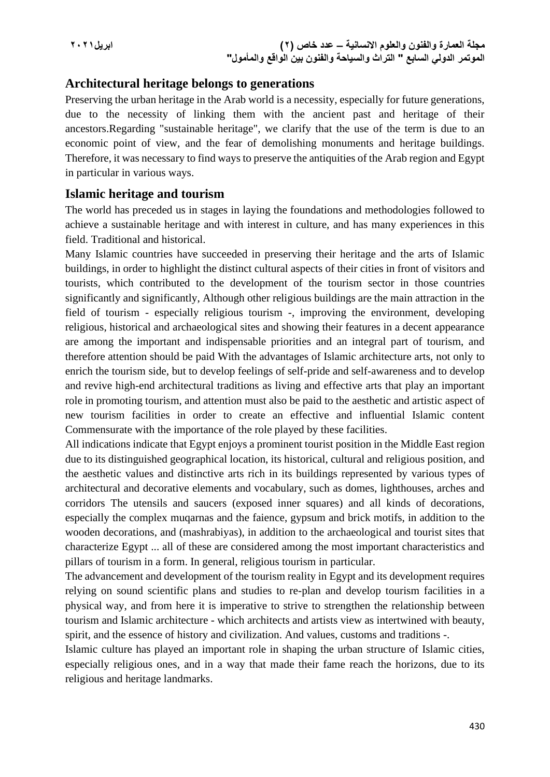## **Architectural heritage belongs to generations**

Preserving the urban heritage in the Arab world is a necessity, especially for future generations, due to the necessity of linking them with the ancient past and heritage of their ancestors.Regarding "sustainable heritage", we clarify that the use of the term is due to an economic point of view, and the fear of demolishing monuments and heritage buildings. Therefore, it was necessary to find ways to preserve the antiquities of the Arab region and Egypt in particular in various ways.

### **Islamic heritage and tourism**

The world has preceded us in stages in laying the foundations and methodologies followed to achieve a sustainable heritage and with interest in culture, and has many experiences in this field. Traditional and historical.

Many Islamic countries have succeeded in preserving their heritage and the arts of Islamic buildings, in order to highlight the distinct cultural aspects of their cities in front of visitors and tourists, which contributed to the development of the tourism sector in those countries significantly and significantly, Although other religious buildings are the main attraction in the field of tourism - especially religious tourism -, improving the environment, developing religious, historical and archaeological sites and showing their features in a decent appearance are among the important and indispensable priorities and an integral part of tourism, and therefore attention should be paid With the advantages of Islamic architecture arts, not only to enrich the tourism side, but to develop feelings of self-pride and self-awareness and to develop and revive high-end architectural traditions as living and effective arts that play an important role in promoting tourism, and attention must also be paid to the aesthetic and artistic aspect of new tourism facilities in order to create an effective and influential Islamic content Commensurate with the importance of the role played by these facilities.

All indications indicate that Egypt enjoys a prominent tourist position in the Middle East region due to its distinguished geographical location, its historical, cultural and religious position, and the aesthetic values and distinctive arts rich in its buildings represented by various types of architectural and decorative elements and vocabulary, such as domes, lighthouses, arches and corridors The utensils and saucers (exposed inner squares) and all kinds of decorations, especially the complex muqarnas and the faience, gypsum and brick motifs, in addition to the wooden decorations, and (mashrabiyas), in addition to the archaeological and tourist sites that characterize Egypt ... all of these are considered among the most important characteristics and pillars of tourism in a form. In general, religious tourism in particular.

The advancement and development of the tourism reality in Egypt and its development requires relying on sound scientific plans and studies to re-plan and develop tourism facilities in a physical way, and from here it is imperative to strive to strengthen the relationship between tourism and Islamic architecture - which architects and artists view as intertwined with beauty, spirit, and the essence of history and civilization. And values, customs and traditions -.

Islamic culture has played an important role in shaping the urban structure of Islamic cities, especially religious ones, and in a way that made their fame reach the horizons, due to its religious and heritage landmarks.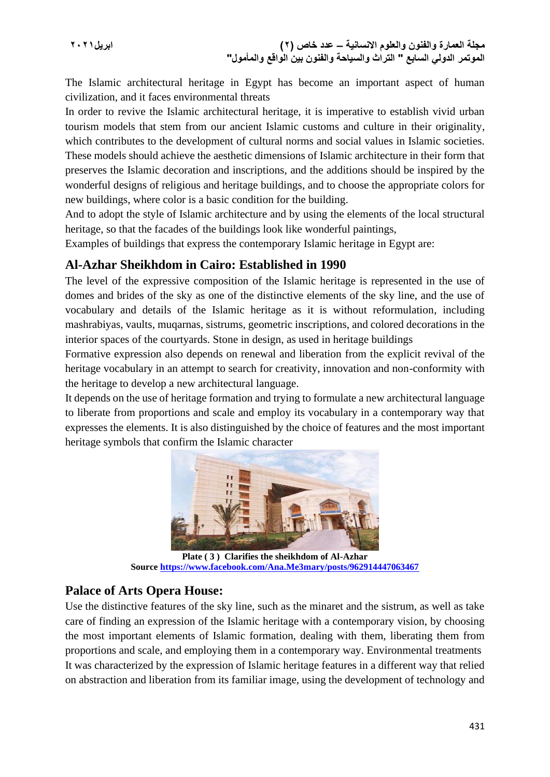**مجلة العمارة والفنون والعلوم االنسانية – عدد خاص )2( ابريل2021 الموتمر الدولي السابع " التراث والسياحة والفنون بين الواقع والمأمول"**

The Islamic architectural heritage in Egypt has become an important aspect of human civilization, and it faces environmental threats

In order to revive the Islamic architectural heritage, it is imperative to establish vivid urban tourism models that stem from our ancient Islamic customs and culture in their originality, which contributes to the development of cultural norms and social values in Islamic societies. These models should achieve the aesthetic dimensions of Islamic architecture in their form that preserves the Islamic decoration and inscriptions, and the additions should be inspired by the wonderful designs of religious and heritage buildings, and to choose the appropriate colors for new buildings, where color is a basic condition for the building.

And to adopt the style of Islamic architecture and by using the elements of the local structural heritage, so that the facades of the buildings look like wonderful paintings,

Examples of buildings that express the contemporary Islamic heritage in Egypt are:

## **Al-Azhar Sheikhdom in Cairo: Established in 1990**

The level of the expressive composition of the Islamic heritage is represented in the use of domes and brides of the sky as one of the distinctive elements of the sky line, and the use of vocabulary and details of the Islamic heritage as it is without reformulation, including mashrabiyas, vaults, muqarnas, sistrums, geometric inscriptions, and colored decorations in the interior spaces of the courtyards. Stone in design, as used in heritage buildings

Formative expression also depends on renewal and liberation from the explicit revival of the heritage vocabulary in an attempt to search for creativity, innovation and non-conformity with the heritage to develop a new architectural language.

It depends on the use of heritage formation and trying to formulate a new architectural language to liberate from proportions and scale and employ its vocabulary in a contemporary way that expresses the elements. It is also distinguished by the choice of features and the most important heritage symbols that confirm the Islamic character



**Plate ( 3 ) Clarifies the sheikhdom of Al-Azhar Source<https://www.facebook.com/Ana.Me3mary/posts/962914447063467>**

## **Palace of Arts Opera House:**

Use the distinctive features of the sky line, such as the minaret and the sistrum, as well as take care of finding an expression of the Islamic heritage with a contemporary vision, by choosing the most important elements of Islamic formation, dealing with them, liberating them from proportions and scale, and employing them in a contemporary way. Environmental treatments It was characterized by the expression of Islamic heritage features in a different way that relied on abstraction and liberation from its familiar image, using the development of technology and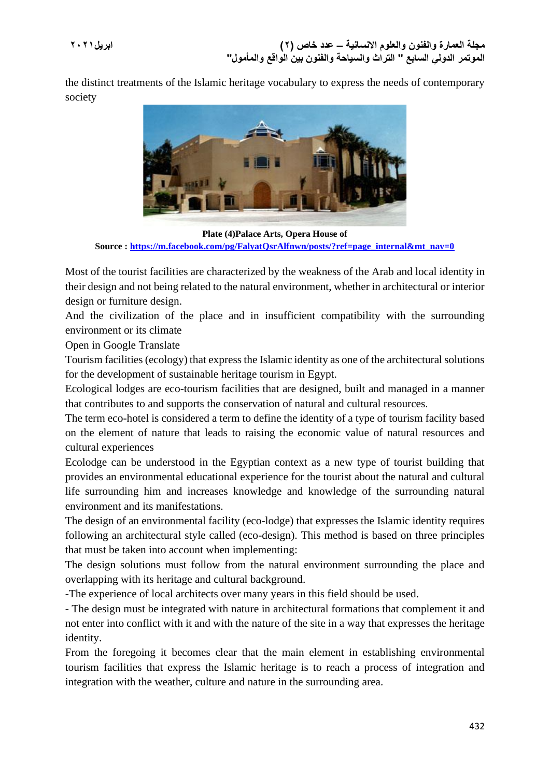the distinct treatments of the Islamic heritage vocabulary to express the needs of contemporary society



**Plate (4)Palace Arts, Opera House of Source : [https://m.facebook.com/pg/FalyatQsrAlfnwn/posts/?ref=page\\_internal&mt\\_nav=0](https://m.facebook.com/pg/FalyatQsrAlfnwn/posts/?ref=page_internal&mt_nav=0)**

Most of the tourist facilities are characterized by the weakness of the Arab and local identity in their design and not being related to the natural environment, whether in architectural or interior design or furniture design.

And the civilization of the place and in insufficient compatibility with the surrounding environment or its climate

Open in Google Translate

Tourism facilities (ecology) that express the Islamic identity as one of the architectural solutions for the development of sustainable heritage tourism in Egypt.

Ecological lodges are eco-tourism facilities that are designed, built and managed in a manner that contributes to and supports the conservation of natural and cultural resources.

The term eco-hotel is considered a term to define the identity of a type of tourism facility based on the element of nature that leads to raising the economic value of natural resources and cultural experiences

Ecolodge can be understood in the Egyptian context as a new type of tourist building that provides an environmental educational experience for the tourist about the natural and cultural life surrounding him and increases knowledge and knowledge of the surrounding natural environment and its manifestations.

The design of an environmental facility (eco-lodge) that expresses the Islamic identity requires following an architectural style called (eco-design). This method is based on three principles that must be taken into account when implementing:

The design solutions must follow from the natural environment surrounding the place and overlapping with its heritage and cultural background.

-The experience of local architects over many years in this field should be used.

- The design must be integrated with nature in architectural formations that complement it and not enter into conflict with it and with the nature of the site in a way that expresses the heritage identity.

From the foregoing it becomes clear that the main element in establishing environmental tourism facilities that express the Islamic heritage is to reach a process of integration and integration with the weather, culture and nature in the surrounding area.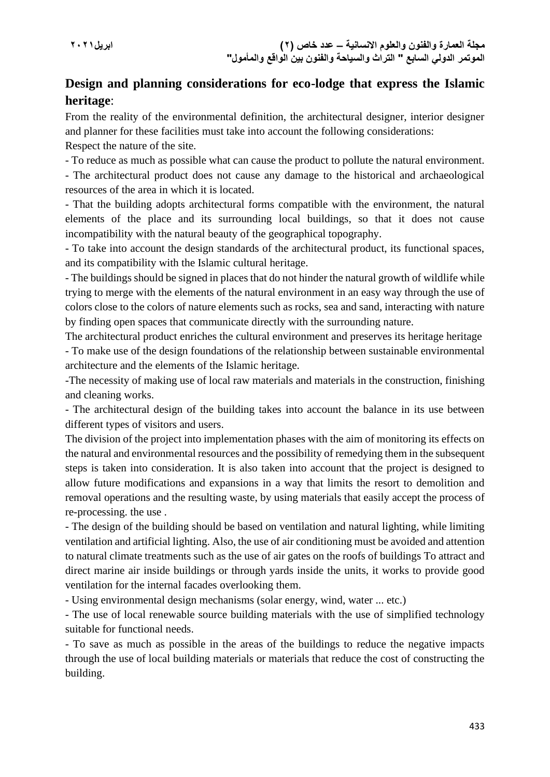## **Design and planning considerations for eco-lodge that express the Islamic heritage**:

From the reality of the environmental definition, the architectural designer, interior designer and planner for these facilities must take into account the following considerations:

Respect the nature of the site.

- To reduce as much as possible what can cause the product to pollute the natural environment. - The architectural product does not cause any damage to the historical and archaeological

resources of the area in which it is located.

- That the building adopts architectural forms compatible with the environment, the natural elements of the place and its surrounding local buildings, so that it does not cause incompatibility with the natural beauty of the geographical topography.

- To take into account the design standards of the architectural product, its functional spaces, and its compatibility with the Islamic cultural heritage.

- The buildings should be signed in places that do not hinder the natural growth of wildlife while trying to merge with the elements of the natural environment in an easy way through the use of colors close to the colors of nature elements such as rocks, sea and sand, interacting with nature by finding open spaces that communicate directly with the surrounding nature.

The architectural product enriches the cultural environment and preserves its heritage heritage - To make use of the design foundations of the relationship between sustainable environmental architecture and the elements of the Islamic heritage.

-The necessity of making use of local raw materials and materials in the construction, finishing and cleaning works.

- The architectural design of the building takes into account the balance in its use between different types of visitors and users.

The division of the project into implementation phases with the aim of monitoring its effects on the natural and environmental resources and the possibility of remedying them in the subsequent steps is taken into consideration. It is also taken into account that the project is designed to allow future modifications and expansions in a way that limits the resort to demolition and removal operations and the resulting waste, by using materials that easily accept the process of re-processing. the use .

- The design of the building should be based on ventilation and natural lighting, while limiting ventilation and artificial lighting. Also, the use of air conditioning must be avoided and attention to natural climate treatments such as the use of air gates on the roofs of buildings To attract and direct marine air inside buildings or through yards inside the units, it works to provide good ventilation for the internal facades overlooking them.

- Using environmental design mechanisms (solar energy, wind, water ... etc.)

- The use of local renewable source building materials with the use of simplified technology suitable for functional needs.

- To save as much as possible in the areas of the buildings to reduce the negative impacts through the use of local building materials or materials that reduce the cost of constructing the building.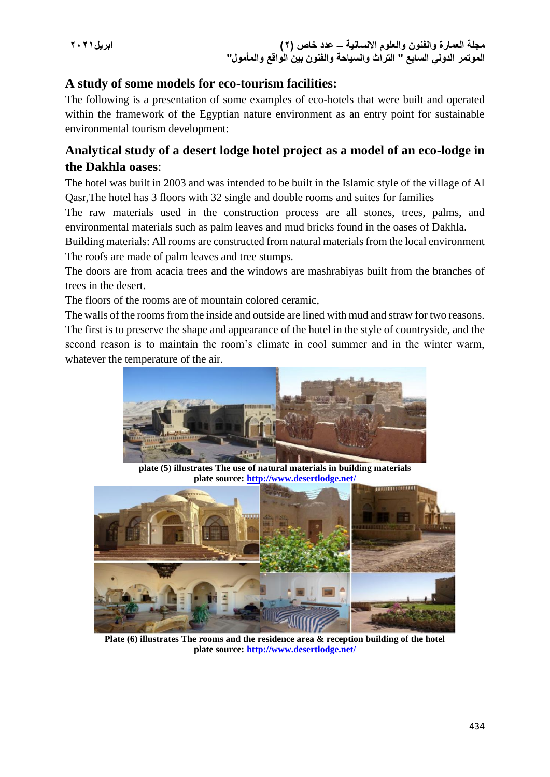## **A study of some models for eco-tourism facilities:**

The following is a presentation of some examples of eco-hotels that were built and operated within the framework of the Egyptian nature environment as an entry point for sustainable environmental tourism development:

## **Analytical study of a desert lodge hotel project as a model of an eco-lodge in the Dakhla oases**:

The hotel was built in 2003 and was intended to be built in the Islamic style of the village of Al Qasr,The hotel has 3 floors with 32 single and double rooms and suites for families

The raw materials used in the construction process are all stones, trees, palms, and environmental materials such as palm leaves and mud bricks found in the oases of Dakhla.

Building materials: All rooms are constructed from natural materials from the local environment The roofs are made of palm leaves and tree stumps.

The doors are from acacia trees and the windows are mashrabiyas built from the branches of trees in the desert.

The floors of the rooms are of mountain colored ceramic,

The walls of the rooms from the inside and outside are lined with mud and straw for two reasons. The first is to preserve the shape and appearance of the hotel in the style of countryside, and the second reason is to maintain the room's climate in cool summer and in the winter warm, whatever the temperature of the air.



**plate (5) illustrates The use of natural materials in building materials plate source: <http://www.desertlodge.net/>**



**Plate (6) illustrates The rooms and the residence area & reception building of the hotel plate source: <http://www.desertlodge.net/>**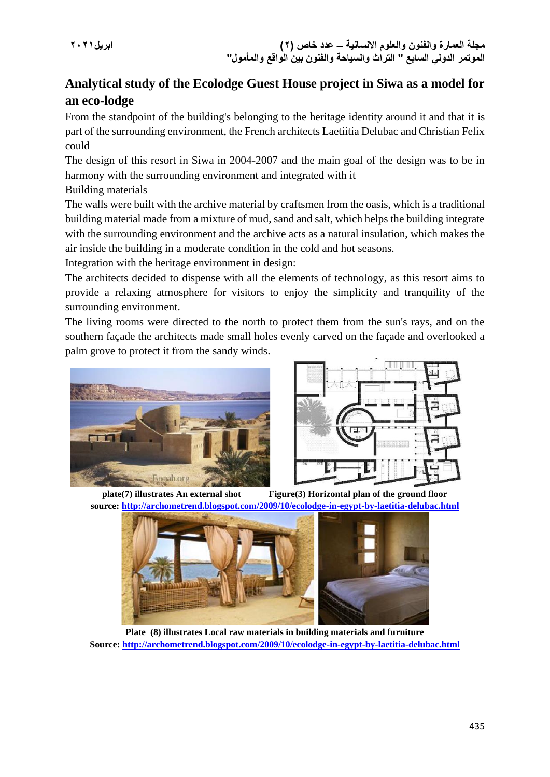## **Analytical study of the Ecolodge Guest House project in Siwa as a model for an eco-lodge**

From the standpoint of the building's belonging to the heritage identity around it and that it is part of the surrounding environment, the French architects Laetiitia Delubac and Christian Felix could

The design of this resort in Siwa in 2004-2007 and the main goal of the design was to be in harmony with the surrounding environment and integrated with it

Building materials

The walls were built with the archive material by craftsmen from the oasis, which is a traditional building material made from a mixture of mud, sand and salt, which helps the building integrate with the surrounding environment and the archive acts as a natural insulation, which makes the air inside the building in a moderate condition in the cold and hot seasons.

Integration with the heritage environment in design:

The architects decided to dispense with all the elements of technology, as this resort aims to provide a relaxing atmosphere for visitors to enjoy the simplicity and tranquility of the surrounding environment.

The living rooms were directed to the north to protect them from the sun's rays, and on the southern façade the architects made small holes evenly carved on the façade and overlooked a palm grove to protect it from the sandy winds.





**plate(7) illustrates An external shot Figure(3) Horizontal plan of the ground floor source: <http://archometrend.blogspot.com/2009/10/ecolodge-in-egypt-by-laetitia-delubac.html>**



**Plate (8) illustrates Local raw materials in building materials and furniture Source: <http://archometrend.blogspot.com/2009/10/ecolodge-in-egypt-by-laetitia-delubac.html>**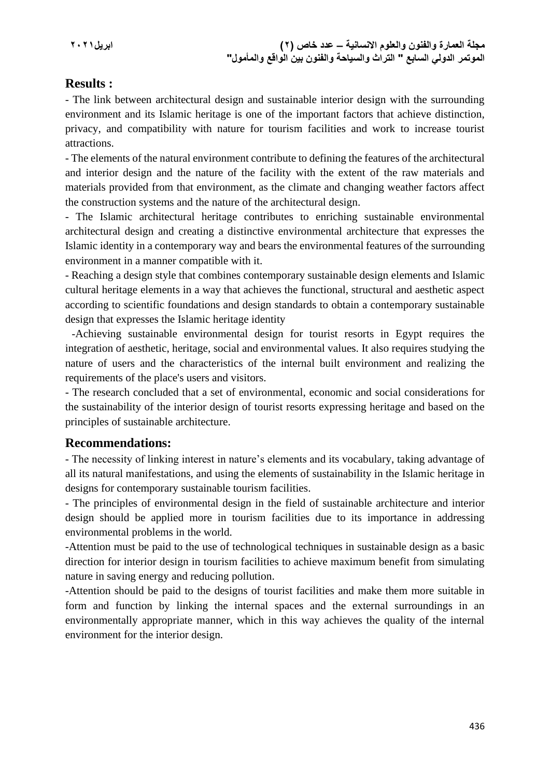## **Results :**

- The link between architectural design and sustainable interior design with the surrounding environment and its Islamic heritage is one of the important factors that achieve distinction, privacy, and compatibility with nature for tourism facilities and work to increase tourist attractions.

- The elements of the natural environment contribute to defining the features of the architectural and interior design and the nature of the facility with the extent of the raw materials and materials provided from that environment, as the climate and changing weather factors affect the construction systems and the nature of the architectural design.

- The Islamic architectural heritage contributes to enriching sustainable environmental architectural design and creating a distinctive environmental architecture that expresses the Islamic identity in a contemporary way and bears the environmental features of the surrounding environment in a manner compatible with it.

- Reaching a design style that combines contemporary sustainable design elements and Islamic cultural heritage elements in a way that achieves the functional, structural and aesthetic aspect according to scientific foundations and design standards to obtain a contemporary sustainable design that expresses the Islamic heritage identity

 -Achieving sustainable environmental design for tourist resorts in Egypt requires the integration of aesthetic, heritage, social and environmental values. It also requires studying the nature of users and the characteristics of the internal built environment and realizing the requirements of the place's users and visitors.

- The research concluded that a set of environmental, economic and social considerations for the sustainability of the interior design of tourist resorts expressing heritage and based on the principles of sustainable architecture.

## **Recommendations:**

- The necessity of linking interest in nature's elements and its vocabulary, taking advantage of all its natural manifestations, and using the elements of sustainability in the Islamic heritage in designs for contemporary sustainable tourism facilities.

- The principles of environmental design in the field of sustainable architecture and interior design should be applied more in tourism facilities due to its importance in addressing environmental problems in the world.

-Attention must be paid to the use of technological techniques in sustainable design as a basic direction for interior design in tourism facilities to achieve maximum benefit from simulating nature in saving energy and reducing pollution.

-Attention should be paid to the designs of tourist facilities and make them more suitable in form and function by linking the internal spaces and the external surroundings in an environmentally appropriate manner, which in this way achieves the quality of the internal environment for the interior design.